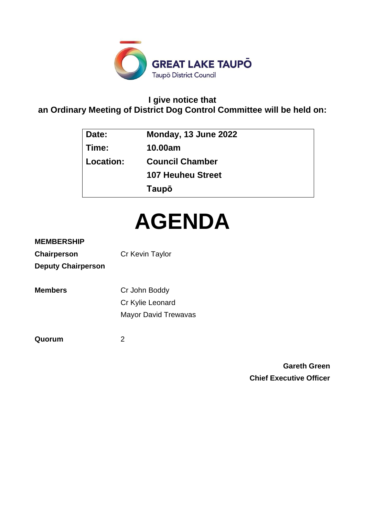

# **I give notice that an Ordinary Meeting of District Dog Control Committee will be held on:**

| Date:     | Monday, 13 June 2022     |
|-----------|--------------------------|
| Time:     | 10.00am                  |
| Location: | <b>Council Chamber</b>   |
|           | <b>107 Heuheu Street</b> |
|           | Taupō                    |

# **AGENDA**

# **MEMBERSHIP**

| <b>Chairperson</b>        | Cr Kevin Taylor |
|---------------------------|-----------------|
| <b>Deputy Chairperson</b> |                 |

| <b>Members</b> | Cr John Boddy               |
|----------------|-----------------------------|
|                | Cr Kylie Leonard            |
|                | <b>Mayor David Trewavas</b> |

**Quorum** 2

**Gareth Green Chief Executive Officer**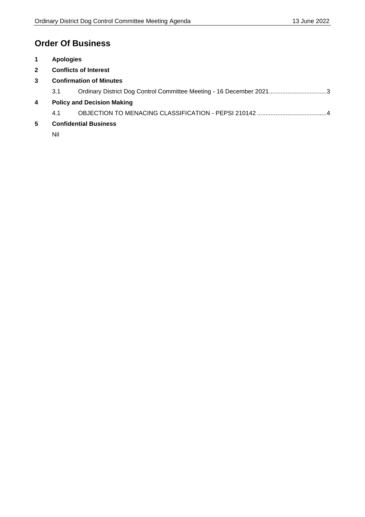# **Order Of Business**

- **1 Apologies**
- **2 Conflicts of Interest**
- **3 Confirmation of Minutes**
	- 3.1 Ordinary District Dog Control Committee Meeting 16 December 2021.................................[.3](#page-2-0)
- **4 Policy and Decision Making**
	- 4.1 OBJECTION TO MENACING CLASSIFICATION PEPSI 210142 ........................................[.4](#page-3-0)
- **5 Confidential Business**

Nil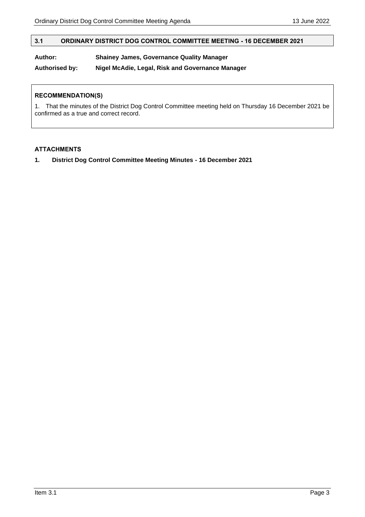# <span id="page-2-0"></span>**3.1 ORDINARY DISTRICT DOG CONTROL COMMITTEE MEETING - 16 DECEMBER 2021**

# **Author: Shainey James, Governance Quality Manager**

**Authorised by: Nigel McAdie, Legal, Risk and Governance Manager**

# **RECOMMENDATION(S)**

1. That the minutes of the District Dog Control Committee meeting held on Thursday 16 December 2021 be confirmed as a true and correct record.

# **ATTACHMENTS**

**1. District Dog Control Committee Meeting Minutes - 16 December 2021**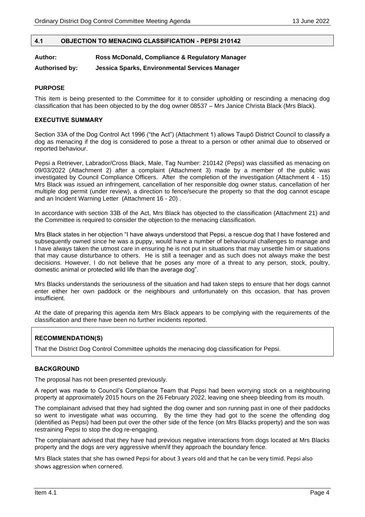# <span id="page-3-0"></span>**4.1 OBJECTION TO MENACING CLASSIFICATION - PEPSI 210142**

# **Author: Ross McDonald, Compliance & Regulatory Manager**

**Authorised by: Jessica Sparks, Environmental Services Manager**

# **PURPOSE**

This item is being presented to the Committee for it to consider upholding or rescinding a menacing dog classification that has been objected to by the dog owner 08537 – Mrs Janice Christa Black (Mrs Black).

# **EXECUTIVE SUMMARY**

Section 33A of the Dog Control Act 1996 ("the Act") (Attachment 1) allows Taupō District Council to classify a dog as menacing if the dog is considered to pose a threat to a person or other animal due to observed or reported behaviour.

Pepsi a Retriever, Labrador/Cross Black, Male, Tag Number: 210142 (Pepsi) was classified as menacing on 09/03/2022 (Attachment 2) after a complaint (Attachment 3) made by a member of the public was investigated by Council Compliance Officers. After the completion of the investigation (Attachment 4 - 15) Mrs Black was issued an infringement, cancellation of her responsible dog owner status, cancellation of her multiple dog permit (under review), a direction to fence/secure the property so that the dog cannot escape and an Incident Warning Letter (Attachment 16 - 20) .

In accordance with section 33B of the Act, Mrs Black has objected to the classification (Attachment 21) and the Committee is required to consider the objection to the menacing classification.

Mrs Black states in her objection "I have always understood that Pepsi, a rescue dog that I have fostered and subsequently owned since he was a puppy, would have a number of behavioural challenges to manage and I have always taken the utmost care in ensuring he is not put in situations that may unsettle him or situations that may cause disturbance to others. He is still a teenager and as such does not always make the best decisions. However, I do not believe that he poses any more of a threat to any person, stock, poultry, domestic animal or protected wild life than the average dog".

Mrs Blacks understands the seriousness of the situation and had taken steps to ensure that her dogs cannot enter either her own paddock or the neighbours and unfortunately on this occasion, that has proven insufficient.

At the date of preparing this agenda item Mrs Black appears to be complying with the requirements of the classification and there have been no further incidents reported.

# **RECOMMENDATION(S)**

That the District Dog Control Committee upholds the menacing dog classification for Pepsi.

# **BACKGROUND**

The proposal has not been presented previously.

A report was made to Council's Compliance Team that Pepsi had been worrying stock on a neighbouring property at approximately 2015 hours on the 26 February 2022, leaving one sheep bleeding from its mouth.

The complainant advised that they had sighted the dog owner and son running past in one of their paddocks so went to investigate what was occurring. By the time they had got to the scene the offending dog (identified as Pepsi) had been put over the other side of the fence (on Mrs Blacks property) and the son was restraining Pepsi to stop the dog re-engaging.

The complainant advised that they have had previous negative interactions from dogs located at Mrs Blacks property and the dogs are very aggressive when/if they approach the boundary fence.

Mrs Black states that she has owned Pepsi for about 3 years old and that he can be very timid. Pepsi also shows aggression when cornered.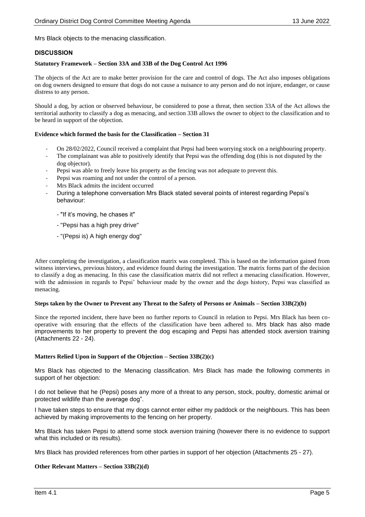Mrs Black objects to the menacing classification.

# **DISCUSSION**

# **Statutory Framework – Section 33A and 33B of the Dog Control Act 1996**

The objects of the Act are to make better provision for the care and control of dogs. The Act also imposes obligations on dog owners designed to ensure that dogs do not cause a nuisance to any person and do not injure, endanger, or cause distress to any person.

Should a dog, by action or observed behaviour, be considered to pose a threat, then section 33A of the Act allows the territorial authority to classify a dog as menacing, and section 33B allows the owner to object to the classification and to be heard in support of the objection.

#### **Evidence which formed the basis for the Classification – Section 31**

- On 28/02/2022, Council received a complaint that Pepsi had been worrying stock on a neighbouring property.
- The complainant was able to positively identify that Pepsi was the offending dog (this is not disputed by the dog objector).
- Pepsi was able to freely leave his property as the fencing was not adequate to prevent this.
- Pepsi was roaming and not under the control of a person.
- Mrs Black admits the incident occurred
- During a telephone conversation Mrs Black stated several points of interest regarding Pepsi's behaviour:
	- "If it's moving, he chases it"
	- "Pepsi has a high prey drive"
	- "(Pepsi is) A high energy dog"

After completing the investigation, a classification matrix was completed. This is based on the information gained from witness interviews, previous history, and evidence found during the investigation. The matrix forms part of the decision to classify a dog as menacing. In this case the classification matrix did not reflect a menacing classification. However, with the admission in regards to Pepsi' behaviour made by the owner and the dogs history, Pepsi was classified as menacing.

#### **Steps taken by the Owner to Prevent any Threat to the Safety of Persons or Animals – Section 33B(2)(b)**

Since the reported incident, there have been no further reports to Council in relation to Pepsi. Mrs Black has been cooperative with ensuring that the effects of the classification have been adhered to. Mrs black has also made improvements to her property to prevent the dog escaping and Pepsi has attended stock aversion training (Attachments 22 - 24).

#### **Matters Relied Upon in Support of the Objection – Section 33B(2)(c)**

Mrs Black has objected to the Menacing classification. Mrs Black has made the following comments in support of her objection:

I do not believe that he (Pepsi) poses any more of a threat to any person, stock, poultry, domestic animal or protected wildlife than the average dog".

I have taken steps to ensure that my dogs cannot enter either my paddock or the neighbours. This has been achieved by making improvements to the fencing on her property.

Mrs Black has taken Pepsi to attend some stock aversion training (however there is no evidence to support what this included or its results).

Mrs Black has provided references from other parties in support of her objection (Attachments 25 - 27).

#### **Other Relevant Matters – Section 33B(2)(d)**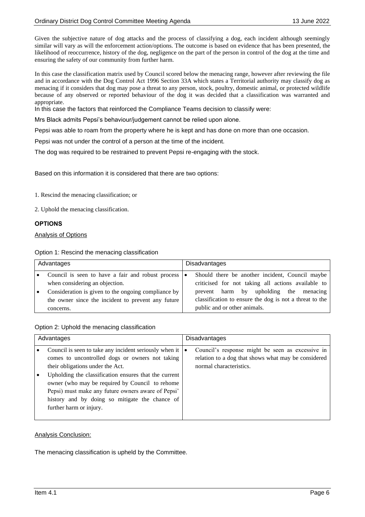Given the subjective nature of dog attacks and the process of classifying a dog, each incident although seemingly similar will vary as will the enforcement action/options. The outcome is based on evidence that has been presented, the likelihood of reoccurrence, history of the dog, negligence on the part of the person in control of the dog at the time and ensuring the safety of our community from further harm.

In this case the classification matrix used by Council scored below the menacing range, however after reviewing the file and in accordance with the Dog Control Act 1996 Section 33A which states a Territorial authority may classify dog as menacing if it considers that dog may pose a threat to any person, stock, poultry, domestic animal, or protected wildlife because of any observed or reported behaviour of the dog it was decided that a classification was warranted and appropriate.

In this case the factors that reinforced the Compliance Teams decision to classify were:

Mrs Black admits Pepsi's behaviour/judgement cannot be relied upon alone.

Pepsi was able to roam from the property where he is kept and has done on more than one occasion.

Pepsi was not under the control of a person at the time of the incident.

The dog was required to be restrained to prevent Pepsi re-engaging with the stock.

Based on this information it is considered that there are two options:

1. Rescind the menacing classification; or

2. Uphold the menacing classification.

# **OPTIONS**

Analysis of Options

Option 1: Rescind the menacing classification

| Advantages |                                                                                                           |           | <b>Disadvantages</b>                                                                                  |  |
|------------|-----------------------------------------------------------------------------------------------------------|-----------|-------------------------------------------------------------------------------------------------------|--|
|            | Council is seen to have a fair and robust process<br>when considering an objection.                       | $\bullet$ | Should there be another incident, Council maybe<br>criticised for not taking all actions available to |  |
|            | Consideration is given to the ongoing compliance by<br>the owner since the incident to prevent any future |           | upholding the menacing<br>prevent harm by<br>classification to ensure the dog is not a threat to the  |  |
|            | concerns.                                                                                                 |           | public and or other animals.                                                                          |  |

Option 2: Uphold the menacing classification

| Advantages |                                                                                                                                                                                                                                                                                                                                                                                              | <b>Disadvantages</b> |                                                                                                                                    |
|------------|----------------------------------------------------------------------------------------------------------------------------------------------------------------------------------------------------------------------------------------------------------------------------------------------------------------------------------------------------------------------------------------------|----------------------|------------------------------------------------------------------------------------------------------------------------------------|
|            | Council is seen to take any incident seriously when it<br>comes to uncontrolled dogs or owners not taking<br>their obligations under the Act.<br>Upholding the classification ensures that the current<br>owner (who may be required by Council to rehome<br>Pepsi) must make any future owners aware of Pepsi'<br>history and by doing so mitigate the chance of<br>further harm or injury. |                      | Council's response might be seen as excessive in<br>relation to a dog that shows what may be considered<br>normal characteristics. |

# Analysis Conclusion:

The menacing classification is upheld by the Committee.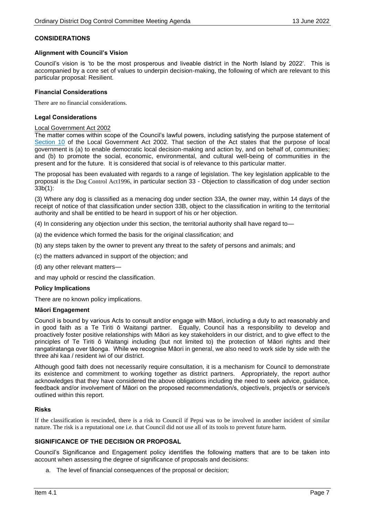## **CONSIDERATIONS**

#### **Alignment with Council's Vision**

Council's vision is 'to be the most prosperous and liveable district in the North Island by 2022'. This is accompanied by a core set of values to underpin decision-making, the following of which are relevant to this particular proposal: Resilient.

#### **Financial Considerations**

There are no financial considerations.

#### **Legal Considerations**

#### Local Government Act 2002

The matter comes within scope of the Council's lawful powers, including satisfying the purpose statement of [Section 10](http://www.legislation.govt.nz/act/public/2002/0084/latest/DLM171803.html?search=qs_act%40bill%40regulation%40deemedreg_local+government+act_resel_25_h&p=1) of the Local Government Act 2002. That section of the Act states that the purpose of local government is (a) to enable democratic local decision-making and action by, and on behalf of, communities; and (b) to promote the social, economic, environmental, and cultural well-being of communities in the present and for the future. It is considered that social is of relevance to this particular matter.

The proposal has been evaluated with regards to a range of legislation. The key legislation applicable to the proposal is the Dog Control Act1996, in particular section 33 - Objection to classification of dog under section 33b(1):

(3) Where any dog is classified as a menacing dog under section 33A, the owner may, within 14 days of the receipt of notice of that classification under section 33B, object to the classification in writing to the territorial authority and shall be entitled to be heard in support of his or her objection.

(4) In considering any objection under this section, the territorial authority shall have regard to—

- (a) the evidence which formed the basis for the original classification; and
- (b) any steps taken by the owner to prevent any threat to the safety of persons and animals; and
- (c) the matters advanced in support of the objection; and
- (d) any other relevant matters—

and may uphold or rescind the classification.

#### **Policy Implications**

There are no known policy implications.

#### **Māori Engagement**

Council is bound by various Acts to consult and/or engage with Māori, including a duty to act reasonably and in good faith as a Te Tiriti ō Waitangi partner. Equally, Council has a responsibility to develop and proactively foster positive relationships with Māori as key stakeholders in our district, and to give effect to the principles of Te Tiriti ō Waitangi including (but not limited to) the protection of Māori rights and their rangatiratanga over tāonga. While we recognise Māori in general, we also need to work side by side with the three ahi kaa / resident iwi of our district.

Although good faith does not necessarily require consultation, it is a mechanism for Council to demonstrate its existence and commitment to working together as district partners. Appropriately, the report author acknowledges that they have considered the above obligations including the need to seek advice, guidance, feedback and/or involvement of Māori on the proposed recommendation/s, objective/s, project/s or service/s outlined within this report.

#### **Risks**

If the classification is rescinded, there is a risk to Council if Pepsi was to be involved in another incident of similar nature. The risk is a reputational one i.e. that Council did not use all of its tools to prevent future harm.

# **SIGNIFICANCE OF THE DECISION OR PROPOSAL**

Council's Significance and Engagement policy identifies the following matters that are to be taken into account when assessing the degree of significance of proposals and decisions:

a. The level of financial consequences of the proposal or decision;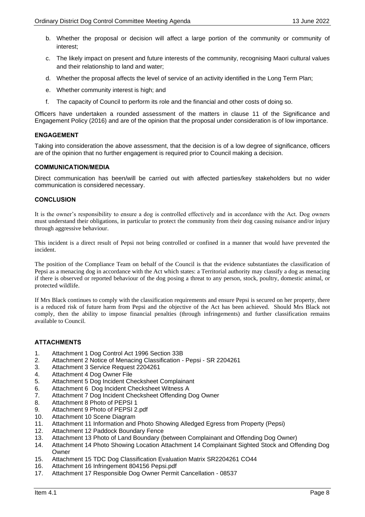- b. Whether the proposal or decision will affect a large portion of the community or community of interest;
- c. The likely impact on present and future interests of the community, recognising Maori cultural values and their relationship to land and water;
- d. Whether the proposal affects the level of service of an activity identified in the Long Term Plan;
- e. Whether community interest is high; and
- f. The capacity of Council to perform its role and the financial and other costs of doing so.

Officers have undertaken a rounded assessment of the matters in clause 11 of the Significance and Engagement Policy (2016) and are of the opinion that the proposal under consideration is of low importance.

## **ENGAGEMENT**

Taking into consideration the above assessment, that the decision is of a low degree of significance, officers are of the opinion that no further engagement is required prior to Council making a decision.

## **COMMUNICATION/MEDIA**

Direct communication has been/will be carried out with affected parties/key stakeholders but no wider communication is considered necessary.

## **CONCLUSION**

It is the owner's responsibility to ensure a dog is controlled effectively and in accordance with the Act. Dog owners must understand their obligations, in particular to protect the community from their dog causing nuisance and/or injury through aggressive behaviour.

This incident is a direct result of Pepsi not being controlled or confined in a manner that would have prevented the incident.

The position of the Compliance Team on behalf of the Council is that the evidence substantiates the classification of Pepsi as a menacing dog in accordance with the Act which states: a Territorial authority may classify a dog as menacing if there is observed or reported behaviour of the dog posing a threat to any person, stock, poultry, domestic animal, or protected wildlife.

If Mrs Black continues to comply with the classification requirements and ensure Pepsi is secured on her property, there is a reduced risk of future harm from Pepsi and the objective of the Act has been achieved. Should Mrs Black not comply, then the ability to impose financial penalties (through infringements) and further classification remains available to Council.

# **ATTACHMENTS**

- 1. Attachment 1 Dog Control Act 1996 Section 33B
- 2. Attachment 2 Notice of Menacing Classification Pepsi SR 2204261
- 3. Attachment 3 Service Request 2204261
- 4. Attachment 4 Dog Owner File
- 5. Attachment 5 Dog Incident Checksheet Complainant
- 6. Attachment 6 Dog Incident Checksheet Witness A
- 7. Attachment 7 Dog Incident Checksheet Offending Dog Owner
- 8. Attachment 8 Photo of PEPSI 1
- 9. Attachment 9 Photo of PEPSI 2.pdf
- 10. Attachment 10 Scene Diagram
- 11. Attachment 11 Information and Photo Showing Alledged Egress from Property (Pepsi)
- 12. Attachment 12 Paddock Boundary Fence
- 13. Attachment 13 Photo of Land Boundary (between Complainant and Offending Dog Owner)
- 14. Attachment 14 Photo Showing Location Attachment 14 Complainant Sighted Stock and Offending Dog Owner
- 15. Attachment 15 TDC Dog Classification Evaluation Matrix SR2204261 CO44
- 16. Attachment 16 Infringement 804156 Pepsi.pdf
- 17. Attachment 17 Responsible Dog Owner Permit Cancellation 08537